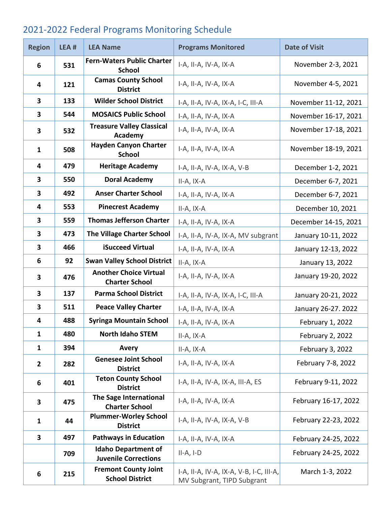## 2021-2022 Federal Programs Monitoring Schedule

| <b>Region</b>  | LEA # | <b>LEA Name</b>                                           | <b>Programs Monitored</b>                                             | <b>Date of Visit</b> |
|----------------|-------|-----------------------------------------------------------|-----------------------------------------------------------------------|----------------------|
| 6              | 531   | <b>Fern-Waters Public Charter</b><br><b>School</b>        | I-A, II-A, IV-A, IX-A                                                 | November 2-3, 2021   |
| 4              | 121   | <b>Camas County School</b><br><b>District</b>             | I-A, II-A, IV-A, IX-A                                                 | November 4-5, 2021   |
| 3              | 133   | <b>Wilder School District</b>                             | I-A, II-A, IV-A, IX-A, I-C, III-A                                     | November 11-12, 2021 |
| 3              | 544   | <b>MOSAICS Public School</b>                              | I-A, II-A, IV-A, IX-A                                                 | November 16-17, 2021 |
| 3              | 532   | <b>Treasure Valley Classical</b><br>Academy               | I-A, II-A, IV-A, IX-A                                                 | November 17-18, 2021 |
| $\mathbf{1}$   | 508   | <b>Hayden Canyon Charter</b><br><b>School</b>             | I-A, II-A, IV-A, IX-A                                                 | November 18-19, 2021 |
| 4              | 479   | <b>Heritage Academy</b>                                   | I-A, II-A, IV-A, IX-A, V-B                                            | December 1-2, 2021   |
| 3              | 550   | <b>Doral Academy</b>                                      | II-A, IX-A                                                            | December 6-7, 2021   |
| 3              | 492   | <b>Anser Charter School</b>                               | I-A, II-A, IV-A, IX-A                                                 | December 6-7, 2021   |
| 4              | 553   | <b>Pinecrest Academy</b>                                  | $II-A, IX-A$                                                          | December 10, 2021    |
| 3              | 559   | <b>Thomas Jefferson Charter</b>                           | I-A, II-A, IV-A, IX-A                                                 | December 14-15, 2021 |
| 3              | 473   | <b>The Village Charter School</b>                         | I-A, II-A, IV-A, IX-A, MV subgrant                                    | January 10-11, 2022  |
| 3              | 466   | iSucceed Virtual                                          | I-A, II-A, IV-A, IX-A                                                 | January 12-13, 2022  |
| 6              | 92    | <b>Swan Valley School District</b>                        | II-A, IX-A                                                            | January 13, 2022     |
| 3              | 476   | <b>Another Choice Virtual</b><br><b>Charter School</b>    | I-A, II-A, IV-A, IX-A                                                 | January 19-20, 2022  |
| 3              | 137   | <b>Parma School District</b>                              | I-A, II-A, IV-A, IX-A, I-C, III-A                                     | January 20-21, 2022  |
| 3              | 511   | <b>Peace Valley Charter</b>                               | I-A, II-A, IV-A, IX-A                                                 | January 26-27. 2022  |
| 4              | 488   | <b>Syringa Mountain School</b>                            | I-A, II-A, IV-A, IX-A                                                 | February 1, 2022     |
| $\mathbf{1}$   | 480   | <b>North Idaho STEM</b>                                   | II-A, IX-A                                                            | February 2, 2022     |
| 1              | 394   | Avery                                                     | II-A, IX-A                                                            | February 3, 2022     |
| $\overline{2}$ | 282   | <b>Genesee Joint School</b><br><b>District</b>            | I-A, II-A, IV-A, IX-A                                                 | February 7-8, 2022   |
| 6              | 401   | <b>Teton County School</b><br><b>District</b>             | I-A, II-A, IV-A, IX-A, III-A, ES                                      | February 9-11, 2022  |
| 3              | 475   | The Sage International<br><b>Charter School</b>           | I-A, II-A, IV-A, IX-A                                                 | February 16-17, 2022 |
| $\mathbf{1}$   | 44    | <b>Plummer-Worley School</b><br><b>District</b>           | I-A, II-A, IV-A, IX-A, V-B                                            | February 22-23, 2022 |
| 3              | 497   | <b>Pathways in Education</b>                              | I-A, II-A, IV-A, IX-A                                                 | February 24-25, 2022 |
|                | 709   | <b>Idaho Department of</b><br><b>Juvenile Corrections</b> | $II-A, I-D$                                                           | February 24-25, 2022 |
| 6              | 215   | <b>Fremont County Joint</b><br><b>School District</b>     | I-A, II-A, IV-A, IX-A, V-B, I-C, III-A,<br>MV Subgrant, TIPD Subgrant | March 1-3, 2022      |